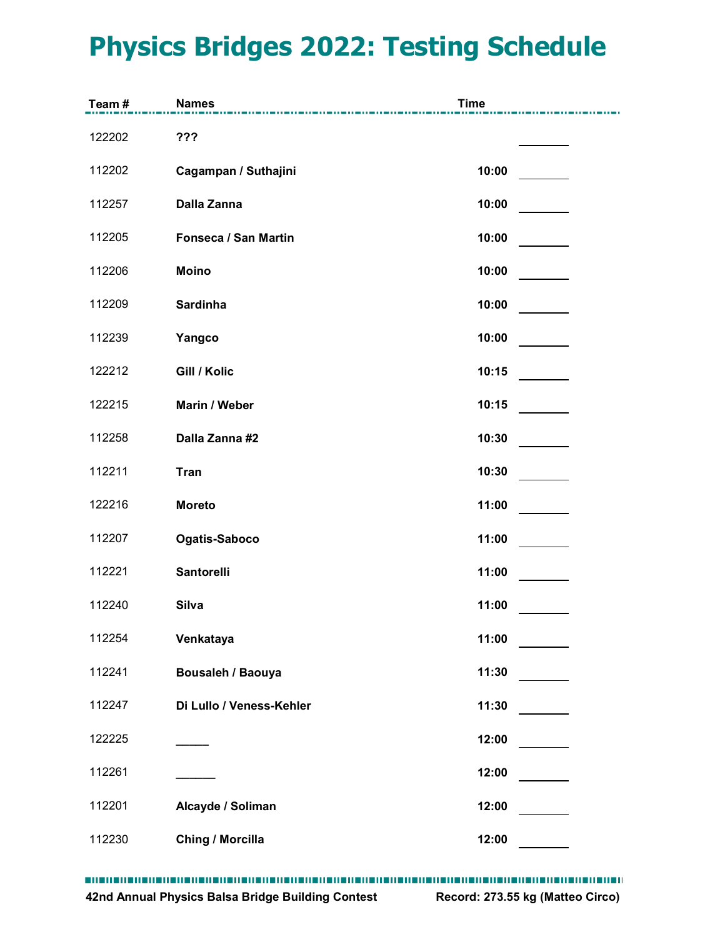## Physics Bridges 2022: Testing Schedule

|        | <b>Physics Bridges 2022: Testing Schedule</b> |             |  |
|--------|-----------------------------------------------|-------------|--|
|        |                                               |             |  |
|        |                                               |             |  |
| Team#  | <b>Names</b>                                  | <b>Time</b> |  |
| 122202 | ???                                           |             |  |
| 112202 | Cagampan / Suthajini                          | 10:00       |  |
| 112257 | Dalla Zanna                                   | 10:00       |  |
| 112205 | Fonseca / San Martin                          | 10:00       |  |
| 112206 | <b>Moino</b>                                  | 10:00       |  |
| 112209 | Sardinha                                      | 10:00       |  |
| 112239 | Yangco                                        | 10:00       |  |
| 122212 | Gill / Kolic                                  | 10:15       |  |
| 122215 | Marin / Weber                                 | 10:15       |  |
| 112258 | Dalla Zanna #2                                | 10:30       |  |
| 112211 | <b>Tran</b>                                   | 10:30       |  |
| 122216 | <b>Moreto</b>                                 | 11:00       |  |
| 112207 | Ogatis-Saboco                                 | 11:00       |  |
| 112221 | Santorelli                                    | 11:00       |  |
| 112240 | <b>Silva</b>                                  | 11:00       |  |
| 112254 | Venkataya                                     | 11:00       |  |
| 112241 | Bousaleh / Baouya                             | 11:30       |  |
| 112247 | Di Lullo / Veness-Kehler                      | 11:30       |  |
| 122225 |                                               | 12:00       |  |
| 112261 |                                               | 12:00       |  |
| 112201 | Alcayde / Soliman                             | 12:00       |  |
| 112230 | <b>Ching / Morcilla</b>                       | 12:00       |  |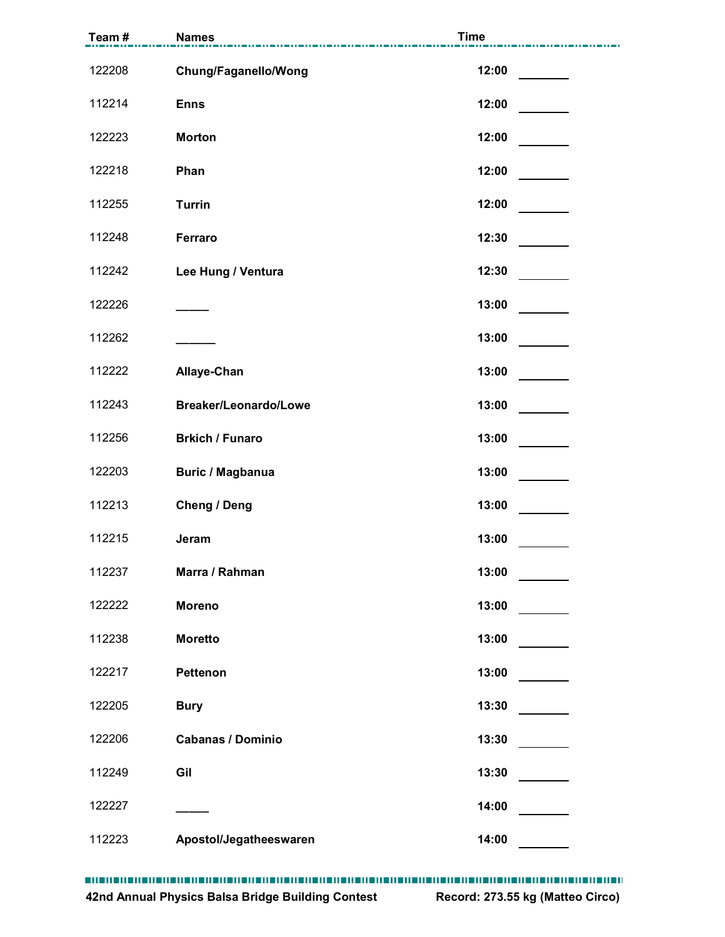|        | <b>Names</b>             | <b>Time</b> |
|--------|--------------------------|-------------|
| 122208 | Chung/Faganello/Wong     | 12:00       |
| 112214 | <b>Enns</b>              | 12:00       |
| 122223 | <b>Morton</b>            | 12:00       |
| 122218 | Phan                     | 12:00       |
| 112255 | <b>Turrin</b>            | 12:00       |
| 112248 | Ferraro                  | 12:30       |
| 112242 | Lee Hung / Ventura       | 12:30       |
| 122226 |                          | 13:00       |
| 112262 |                          | 13:00       |
| 112222 | Allaye-Chan              | 13:00       |
| 112243 | Breaker/Leonardo/Lowe    | 13:00       |
| 112256 | <b>Brkich / Funaro</b>   | 13:00       |
| 122203 | <b>Buric / Magbanua</b>  | 13:00       |
| 112213 | <b>Cheng / Deng</b>      | 13:00       |
| 112215 | Jeram                    | 13:00       |
| 112237 | Marra / Rahman           | 13:00       |
| 122222 | <b>Moreno</b>            | 13:00       |
| 112238 | <b>Moretto</b>           | 13:00       |
| 122217 | Pettenon                 | 13:00       |
| 122205 | <b>Bury</b>              | 13:30       |
| 122206 | <b>Cabanas / Dominio</b> | 13:30       |
| 112249 | Gil                      | 13:30       |
| 122227 |                          | 14:00       |
| 112223 | Apostol/Jegatheeswaren   | 14:00       |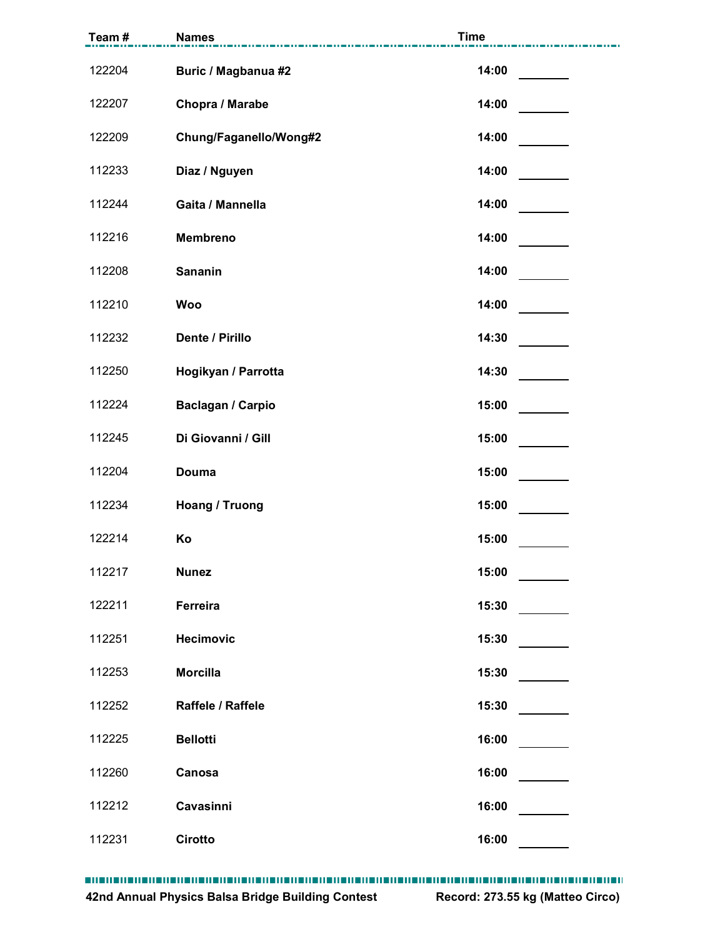| Team#  | <b>Names</b>           | <b>Time</b> |
|--------|------------------------|-------------|
| 122204 | Buric / Magbanua #2    | 14:00       |
| 122207 | Chopra / Marabe        | 14:00       |
| 122209 | Chung/Faganello/Wong#2 | 14:00       |
| 112233 | Diaz / Nguyen          | 14:00       |
| 112244 | Gaita / Mannella       | 14:00       |
| 112216 | Membreno               | 14:00       |
| 112208 | Sananin                | 14:00       |
| 112210 | <b>Woo</b>             | 14:00       |
| 112232 | Dente / Pirillo        | 14:30       |
| 112250 | Hogikyan / Parrotta    | 14:30       |
| 112224 | Baclagan / Carpio      | 15:00       |
| 112245 | Di Giovanni / Gill     | 15:00       |
| 112204 | <b>Douma</b>           | 15:00       |
| 112234 | Hoang / Truong         | 15:00       |
| 122214 | Ko                     | 15:00       |
| 112217 | <b>Nunez</b>           | 15:00       |
| 122211 | Ferreira               | 15:30       |
| 112251 | Hecimovic              | 15:30       |
| 112253 | <b>Morcilla</b>        | 15:30       |
| 112252 | Raffele / Raffele      | 15:30       |
| 112225 | <b>Bellotti</b>        | 16:00       |
| 112260 | Canosa                 | 16:00       |
| 112212 | Cavasinni              | 16:00       |
| 112231 | Cirotto                | 16:00       |